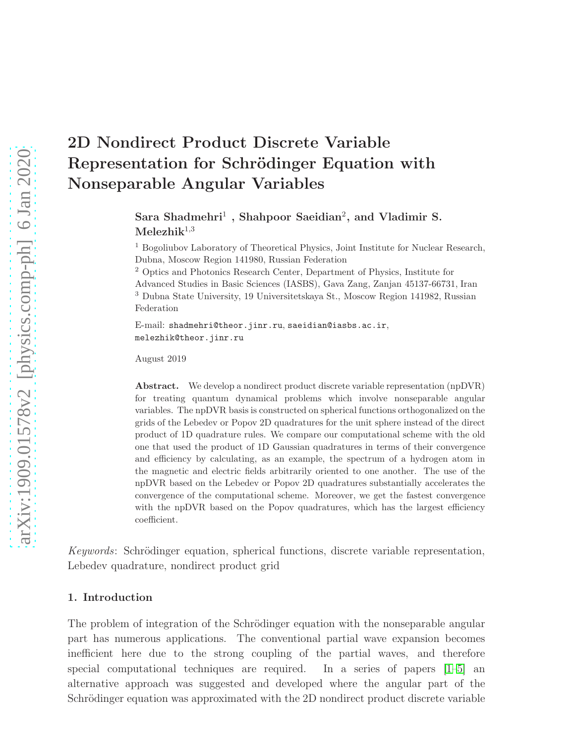# 2D Nondirect Product Discrete Variable Representation for Schrödinger Equation with Nonseparable Angular Variables

Sara Shadmehri<sup>1</sup>, Shahpoor Saeidian<sup>2</sup>, and Vladimir S.  $Melezhik<sup>1,3</sup>$ 

<sup>1</sup> Bogoliubov Laboratory of Theoretical Physics, Joint Institute for Nuclear Research, Dubna, Moscow Region 141980, Russian Federation

<sup>2</sup> Optics and Photonics Research Center, Department of Physics, Institute for Advanced Studies in Basic Sciences (IASBS), Gava Zang, Zanjan 45137-66731, Iran <sup>3</sup> Dubna State University, 19 Universitetskaya St., Moscow Region 141982, Russian Federation

E-mail: shadmehri@theor.jinr.ru, saeidian@iasbs.ac.ir, melezhik@theor.jinr.ru

August 2019

Abstract. We develop a nondirect product discrete variable representation (npDVR) for treating quantum dynamical problems which involve nonseparable angular variables. The npDVR basis is constructed on spherical functions orthogonalized on the grids of the Lebedev or Popov 2D quadratures for the unit sphere instead of the direct product of 1D quadrature rules. We compare our computational scheme with the old one that used the product of 1D Gaussian quadratures in terms of their convergence and efficiency by calculating, as an example, the spectrum of a hydrogen atom in the magnetic and electric fields arbitrarily oriented to one another. The use of the npDVR based on the Lebedev or Popov 2D quadratures substantially accelerates the convergence of the computational scheme. Moreover, we get the fastest convergence with the npDVR based on the Popov quadratures, which has the largest efficiency coefficient.

Keywords: Schrödinger equation, spherical functions, discrete variable representation, Lebedev quadrature, nondirect product grid

## 1. Introduction

The problem of integration of the Schrödinger equation with the nonseparable angular part has numerous applications. The conventional partial wave expansion becomes inefficient here due to the strong coupling of the partial waves, and therefore special computational techniques are required. In a series of papers  $[1-5]$  and alternative approach was suggested and developed where the angular part of the Schrödinger equation was approximated with the 2D nondirect product discrete variable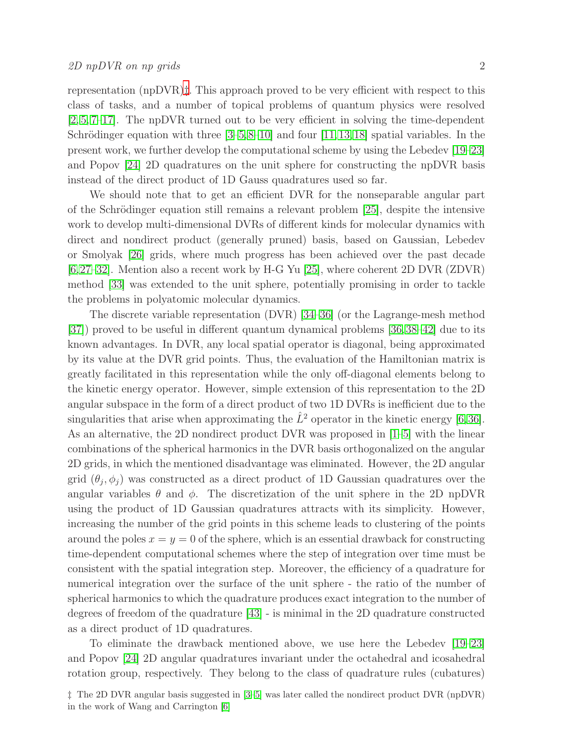representation (npDVR)[‡](#page-1-0). This approach proved to be very efficient with respect to this class of tasks, and a number of topical problems of quantum physics were resolved [\[2,](#page-9-2) [5,](#page-9-1) [7–](#page-9-3)[17\]](#page-9-4). The npDVR turned out to be very efficient in solving the time-dependent Schrödinger equation with three  $[3-5,8-10]$  $[3-5,8-10]$  $[3-5,8-10]$  and four  $[11,13,18]$  $[11,13,18]$  $[11,13,18]$  spatial variables. In the present work, we further develop the computational scheme by using the Lebedev [\[19–](#page-9-11)[23\]](#page-10-0) and Popov [\[24\]](#page-10-1) 2D quadratures on the unit sphere for constructing the npDVR basis instead of the direct product of 1D Gauss quadratures used so far.

We should note that to get an efficient DVR for the nonseparable angular part of the Schrödinger equation still remains a relevant problem [\[25\]](#page-10-2), despite the intensive work to develop multi-dimensional DVRs of different kinds for molecular dynamics with direct and nondirect product (generally pruned) basis, based on Gaussian, Lebedev or Smolyak [\[26\]](#page-10-3) grids, where much progress has been achieved over the past decade [\[6,](#page-9-12)[27–](#page-10-4)[32\]](#page-10-5). Mention also a recent work by H-G Yu [\[25\]](#page-10-2), where coherent 2D DVR (ZDVR) method [\[33\]](#page-10-6) was extended to the unit sphere, potentially promising in order to tackle the problems in polyatomic molecular dynamics.

The discrete variable representation (DVR) [\[34–](#page-10-7)[36\]](#page-10-8) (or the Lagrange-mesh method [\[37\]](#page-10-9)) proved to be useful in different quantum dynamical problems [\[36,](#page-10-8)[38](#page-10-10)[–42\]](#page-10-11) due to its known advantages. In DVR, any local spatial operator is diagonal, being approximated by its value at the DVR grid points. Thus, the evaluation of the Hamiltonian matrix is greatly facilitated in this representation while the only off-diagonal elements belong to the kinetic energy operator. However, simple extension of this representation to the 2D angular subspace in the form of a direct product of two 1D DVRs is inefficient due to the singularities that arise when approximating the  $\hat{L}^2$  operator in the kinetic energy [\[6,](#page-9-12)[36\]](#page-10-8). As an alternative, the 2D nondirect product DVR was proposed in [\[1](#page-9-0)[–5\]](#page-9-1) with the linear combinations of the spherical harmonics in the DVR basis orthogonalized on the angular 2D grids, in which the mentioned disadvantage was eliminated. However, the 2D angular grid  $(\theta_j, \phi_j)$  was constructed as a direct product of 1D Gaussian quadratures over the angular variables  $\theta$  and  $\phi$ . The discretization of the unit sphere in the 2D npDVR using the product of 1D Gaussian quadratures attracts with its simplicity. However, increasing the number of the grid points in this scheme leads to clustering of the points around the poles  $x = y = 0$  of the sphere, which is an essential drawback for constructing time-dependent computational schemes where the step of integration over time must be consistent with the spatial integration step. Moreover, the efficiency of a quadrature for numerical integration over the surface of the unit sphere - the ratio of the number of spherical harmonics to which the quadrature produces exact integration to the number of degrees of freedom of the quadrature [\[43\]](#page-10-12) - is minimal in the 2D quadrature constructed as a direct product of 1D quadratures.

To eliminate the drawback mentioned above, we use here the Lebedev [\[19–](#page-9-11)[23\]](#page-10-0) and Popov [\[24\]](#page-10-1) 2D angular quadratures invariant under the octahedral and icosahedral rotation group, respectively. They belong to the class of quadrature rules (cubatures)

<span id="page-1-0"></span><sup>‡</sup> The 2D DVR angular basis suggested in [\[3–](#page-9-5)[5\]](#page-9-1) was later called the nondirect product DVR (npDVR) in the work of Wang and Carrington [\[6\]](#page-9-12)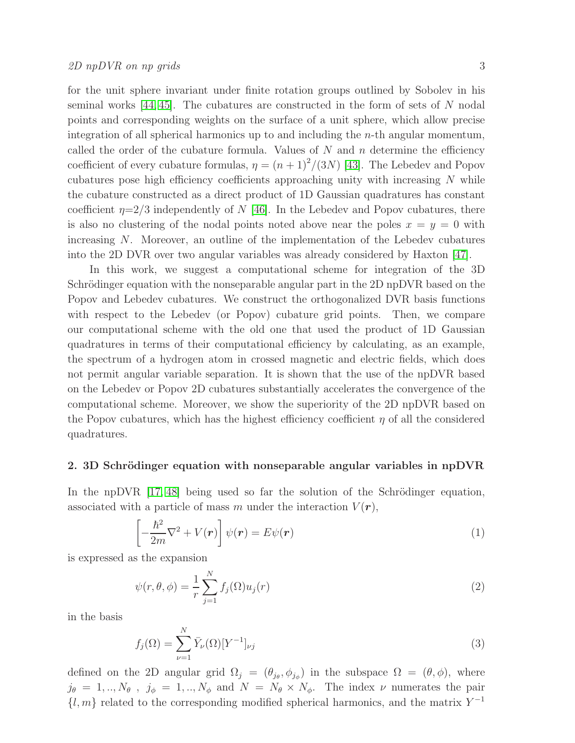for the unit sphere invariant under finite rotation groups outlined by Sobolev in his seminal works  $[44, 45]$  $[44, 45]$ . The cubatures are constructed in the form of sets of N nodal points and corresponding weights on the surface of a unit sphere, which allow precise integration of all spherical harmonics up to and including the n-th angular momentum, called the order of the cubature formula. Values of  $N$  and  $n$  determine the efficiency coefficient of every cubature formulas,  $\eta = (n+1)^2/(3N)$  [\[43\]](#page-10-12). The Lebedev and Popov cubatures pose high efficiency coefficients approaching unity with increasing  $N$  while the cubature constructed as a direct product of 1D Gaussian quadratures has constant coefficient  $\eta=2/3$  independently of N [\[46\]](#page-10-15). In the Lebedev and Popov cubatures, there is also no clustering of the nodal points noted above near the poles  $x = y = 0$  with increasing N. Moreover, an outline of the implementation of the Lebedev cubatures into the 2D DVR over two angular variables was already considered by Haxton [\[47\]](#page-10-16).

In this work, we suggest a computational scheme for integration of the 3D Schrödinger equation with the nonseparable angular part in the 2D npDVR based on the Popov and Lebedev cubatures. We construct the orthogonalized DVR basis functions with respect to the Lebedev (or Popov) cubature grid points. Then, we compare our computational scheme with the old one that used the product of 1D Gaussian quadratures in terms of their computational efficiency by calculating, as an example, the spectrum of a hydrogen atom in crossed magnetic and electric fields, which does not permit angular variable separation. It is shown that the use of the npDVR based on the Lebedev or Popov 2D cubatures substantially accelerates the convergence of the computational scheme. Moreover, we show the superiority of the 2D npDVR based on the Popov cubatures, which has the highest efficiency coefficient  $\eta$  of all the considered quadratures.

### 2. 3D Schrödinger equation with nonseparable angular variables in npDVR

In the npDVR  $[17, 48]$  $[17, 48]$  being used so far the solution of the Schrödinger equation, associated with a particle of mass m under the interaction  $V(\mathbf{r}),$ 

<span id="page-2-1"></span>
$$
\left[-\frac{\hbar^2}{2m}\nabla^2 + V(\mathbf{r})\right]\psi(\mathbf{r}) = E\psi(\mathbf{r})\tag{1}
$$

is expressed as the expansion

<span id="page-2-0"></span>
$$
\psi(r,\theta,\phi) = \frac{1}{r} \sum_{j=1}^{N} f_j(\Omega) u_j(r)
$$
\n(2)

in the basis

<span id="page-2-2"></span>
$$
f_j(\Omega) = \sum_{\nu=1}^{N} \bar{Y}_{\nu}(\Omega) [Y^{-1}]_{\nu j} \tag{3}
$$

defined on the 2D angular grid  $\Omega_j = (\theta_{j_\theta}, \phi_{j_\phi})$  in the subspace  $\Omega = (\theta, \phi)$ , where  $j_{\theta} = 1, ..., N_{\theta}$ ,  $j_{\phi} = 1, ..., N_{\phi}$  and  $N = N_{\theta} \times N_{\phi}$ . The index  $\nu$  numerates the pair  $\{l, m\}$  related to the corresponding modified spherical harmonics, and the matrix  $Y^{-1}$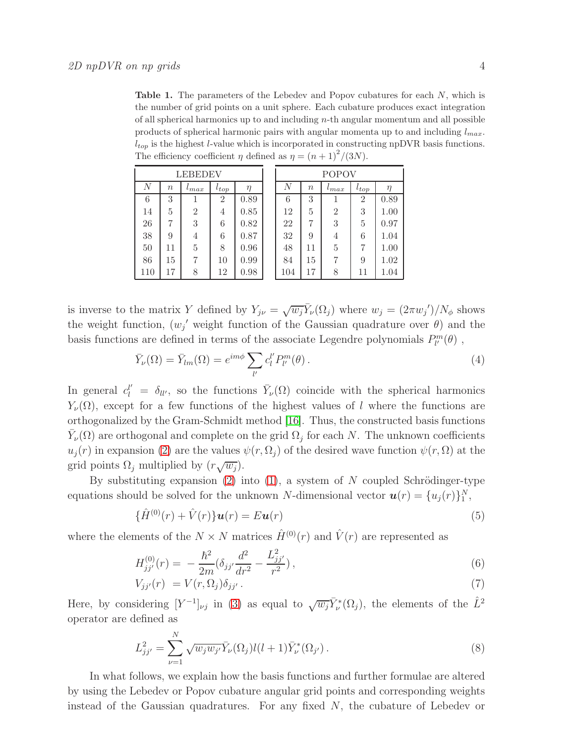<span id="page-3-0"></span>Table 1. The parameters of the Lebedev and Popov cubatures for each N, which is the number of grid points on a unit sphere. Each cubature produces exact integration of all spherical harmonics up to and including  $n$ -th angular momentum and all possible products of spherical harmonic pairs with angular momenta up to and including  $l_{max}$ .  $l_{top}$  is the highest l-value which is incorporated in constructing npDVR basis functions. The efficiency coefficient  $\eta$  defined as  $\eta = (n+1)^2/(3N)$ .

| LEBEDEV          |                  |                |                | POPOV  |     |                  |                |                |        |
|------------------|------------------|----------------|----------------|--------|-----|------------------|----------------|----------------|--------|
| $\boldsymbol{N}$ | $\boldsymbol{n}$ | $^{t}max$      | $t_{top}$      | $\eta$ | N   | $\boldsymbol{n}$ | $^{t}max$      | $t_{top}$      | $\eta$ |
| 6                | 3                |                | $\overline{2}$ | 0.89   | 6   | 3                |                | $\overline{2}$ | 0.89   |
| 14               | 5                | $\overline{2}$ | 4              | 0.85   | 12  | 5                | $\overline{2}$ | 3              | 1.00   |
| 26               | 7                | 3              | 6              | 0.82   | 22  | 7                | 3              | 5              | 0.97   |
| 38               | 9                | 4              | 6              | 0.87   | 32  | 9                | 4              | 6              | 1.04   |
| 50               | 11               | 5              | 8              | 0.96   | 48  | 11               | 5              |                | 1.00   |
| 86               | 15               | 7              | 10             | 0.99   | 84  | 15               | 7              | 9              | 1.02   |
| 110              | 17               | 8              | 12             | 0.98   | 104 | 17               | 8              | 11             | 1.04   |

is inverse to the matrix Y defined by  $Y_{j\nu} = \sqrt{w_j} \bar{Y}_{\nu}(\Omega_j)$  where  $w_j = (2\pi w_j')/N_\phi$  shows the weight function,  $(w_j'$  weight function of the Gaussian quadrature over  $\theta$ ) and the basis functions are defined in terms of the associate Legendre polynomials  $P^m_{l'}(\theta)$  ,

<span id="page-3-1"></span>
$$
\bar{Y}_{\nu}(\Omega) = \bar{Y}_{lm}(\Omega) = e^{im\phi} \sum_{l'} c_l^{l'} P_{l'}^{m}(\theta).
$$
\n(4)

In general  $c_l^{l'} = \delta_{ll'}$ , so the functions  $\bar{Y}_{\nu}(\Omega)$  coincide with the spherical harmonics  $Y_{\nu}(\Omega)$ , except for a few functions of the highest values of l where the functions are orthogonalized by the Gram-Schmidt method [\[16\]](#page-9-13). Thus, the constructed basis functions  $\bar{Y}_{\nu}(\Omega)$  are orthogonal and complete on the grid  $\Omega_j$  for each N. The unknown coefficients  $u_i(r)$  in expansion [\(2\)](#page-2-0) are the values  $\psi(r, \Omega_i)$  of the desired wave function  $\psi(r, \Omega)$  at the grid points  $\Omega_j$  multiplied by  $(r\sqrt{w_j})$ .

By substituting expansion  $(2)$  into  $(1)$ , a system of N coupled Schrödinger-type equations should be solved for the unknown N-dimensional vector  $\mathbf{u}(r) = \{u_j(r)\}_1^N$ ,

<span id="page-3-3"></span>
$$
\{\hat{H}^{(0)}(r) + \hat{V}(r)\}\boldsymbol{u}(r) = E\boldsymbol{u}(r)
$$
\n<sup>(5)</sup>

where the elements of the  $N \times N$  matrices  $\hat{H}^{(0)}(r)$  and  $\hat{V}(r)$  are represented as

<span id="page-3-2"></span>
$$
H_{jj'}^{(0)}(r) = -\frac{\hbar^2}{2m} (\delta_{jj'} \frac{d^2}{dr^2} - \frac{L_{jj'}^2}{r^2}),\tag{6}
$$

$$
V_{jj'}(r) = V(r, \Omega_j) \delta_{jj'}.
$$
\n
$$
(7)
$$

Here, by considering  $[Y^{-1}]_{\nu j}$  in [\(3\)](#page-2-2) as equal to  $\sqrt{w_j} \bar{Y}^*_{\nu}(\Omega_j)$ , the elements of the  $\hat{L}^2$ operator are defined as

$$
L_{jj'}^2 = \sum_{\nu=1}^N \sqrt{w_j w_{j'}} \bar{Y}_{\nu}(\Omega_j) l(l+1) \bar{Y}_{\nu}^*(\Omega_{j'}).
$$
 (8)

In what follows, we explain how the basis functions and further formulae are altered by using the Lebedev or Popov cubature angular grid points and corresponding weights instead of the Gaussian quadratures. For any fixed  $N$ , the cubature of Lebedev or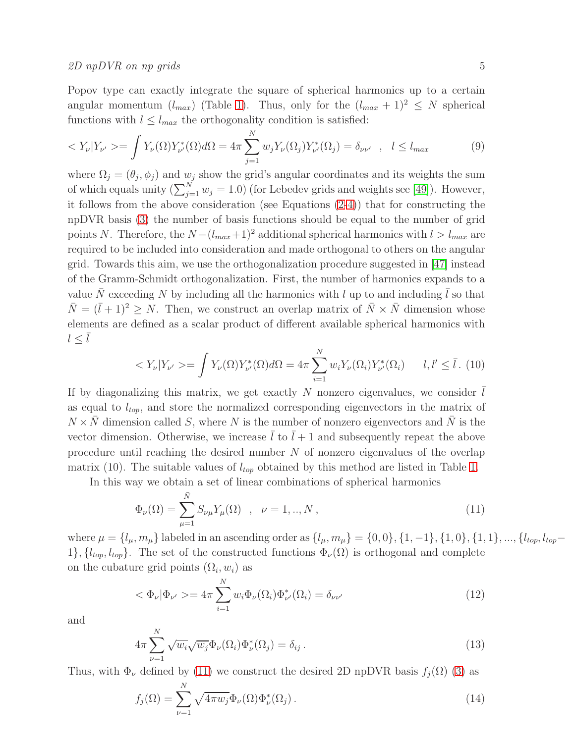Popov type can exactly integrate the square of spherical harmonics up to a certain angular momentum  $(l_{max})$  (Table [1\)](#page-3-0). Thus, only for the  $(l_{max} + 1)^2 \leq N$  spherical functions with  $l \leq l_{max}$  the orthogonality condition is satisfied:

$$
\langle Y_{\nu} | Y_{\nu'} \rangle = \int Y_{\nu}(\Omega) Y_{\nu'}^{*}(\Omega) d\Omega = 4\pi \sum_{j=1}^{N} w_{j} Y_{\nu}(\Omega_{j}) Y_{\nu'}^{*}(\Omega_{j}) = \delta_{\nu\nu'} \quad , \quad l \le l_{max} \tag{9}
$$

where  $\Omega_j = (\theta_j, \phi_j)$  and  $w_j$  show the grid's angular coordinates and its weights the sum of which equals unity  $(\sum_{j=1}^{N} w_j = 1.0)$  (for Lebedev grids and weights see [\[49\]](#page-10-18)). However, it follows from the above consideration (see Equations [\(2](#page-2-0)[-4\)](#page-3-1)) that for constructing the npDVR basis [\(3\)](#page-2-2) the number of basis functions should be equal to the number of grid points N. Therefore, the  $N - (l_{max}+1)^2$  additional spherical harmonics with  $l > l_{max}$  are required to be included into consideration and made orthogonal to others on the angular grid. Towards this aim, we use the orthogonalization procedure suggested in [\[47\]](#page-10-16) instead of the Gramm-Schmidt orthogonalization. First, the number of harmonics expands to a value  $\bar{N}$  exceeding N by including all the harmonics with l up to and including  $\bar{l}$  so that  $\overline{N} = (\overline{l} + 1)^2 > N$ . Then, we construct an overlap matrix of  $\overline{N} \times \overline{N}$  dimension whose elements are defined as a scalar product of different available spherical harmonics with  $l \leq l$ 

$$
\langle Y_{\nu} | Y_{\nu'} \rangle = \int Y_{\nu}(\Omega) Y_{\nu'}^*(\Omega) d\Omega = 4\pi \sum_{i=1}^N w_i Y_{\nu}(\Omega_i) Y_{\nu'}^*(\Omega_i) \qquad l, l' \leq \bar{l} \tag{10}
$$

If by diagonalizing this matrix, we get exactly  $N$  nonzero eigenvalues, we consider  $l$ as equal to  $l_{top}$ , and store the normalized corresponding eigenvectors in the matrix of  $N \times N$  dimension called S, where N is the number of nonzero eigenvectors and  $\overline{N}$  is the vector dimension. Otherwise, we increase  $\overline{l}$  to  $\overline{l} + 1$  and subsequently repeat the above procedure until reaching the desired number N of nonzero eigenvalues of the overlap matrix (10). The suitable values of  $l_{top}$  obtained by this method are listed in Table [1.](#page-3-0)

In this way we obtain a set of linear combinations of spherical harmonics

<span id="page-4-0"></span>
$$
\Phi_{\nu}(\Omega) = \sum_{\mu=1}^{\bar{N}} S_{\nu\mu} Y_{\mu}(\Omega) , \quad \nu = 1, ..., N ,
$$
\n(11)

where  $\mu = \{l_{\mu}, m_{\mu}\}\$ labeled in an ascending order as  $\{l_{\mu}, m_{\mu}\} = \{0, 0\}, \{1, -1\}, \{1, 0\}, \{1, 1\}, ..., \{l_{top}, l_{top}-1\}$ 1},  $\{l_{top}, l_{top}\}$ . The set of the constructed functions  $\Phi_{\nu}(\Omega)$  is orthogonal and complete on the cubature grid points  $(\Omega_i, w_i)$  as

$$
\langle \Phi_{\nu} | \Phi_{\nu'} \rangle = 4\pi \sum_{i=1}^{N} w_i \Phi_{\nu}(\Omega_i) \Phi_{\nu'}^*(\Omega_i) = \delta_{\nu \nu'} \tag{12}
$$

and

$$
4\pi \sum_{\nu=1}^{N} \sqrt{w_i} \sqrt{w_j} \Phi_{\nu}(\Omega_i) \Phi_{\nu}^*(\Omega_j) = \delta_{ij}.
$$
 (13)

Thus, with  $\Phi_{\nu}$  defined by [\(11\)](#page-4-0) we construct the desired 2D npDVR basis  $f_i(\Omega)$  [\(3\)](#page-2-2) as

<span id="page-4-1"></span>
$$
f_j(\Omega) = \sum_{\nu=1}^N \sqrt{4\pi w_j} \Phi_{\nu}(\Omega) \Phi_{\nu}^*(\Omega_j).
$$
 (14)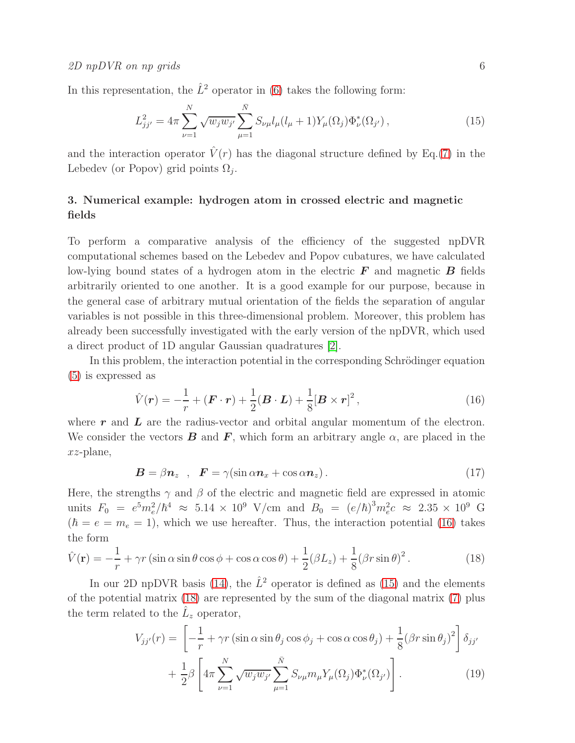In this representation, the  $\hat{L}^2$  operator in [\(6\)](#page-3-2) takes the following form:

<span id="page-5-1"></span>
$$
L_{jj'}^2 = 4\pi \sum_{\nu=1}^N \sqrt{w_j w_{j'}} \sum_{\mu=1}^{\bar{N}} S_{\nu\mu} l_{\mu} (l_{\mu} + 1) Y_{\mu}(\Omega_j) \Phi_{\nu}^*(\Omega_{j'}), \qquad (15)
$$

and the interaction operator  $\hat{V}(r)$  has the diagonal structure defined by Eq.[\(7\)](#page-3-2) in the Lebedev (or Popov) grid points  $\Omega_j$ .

# 3. Numerical example: hydrogen atom in crossed electric and magnetic fields

To perform a comparative analysis of the efficiency of the suggested npDVR computational schemes based on the Lebedev and Popov cubatures, we have calculated low-lying bound states of a hydrogen atom in the electric  $\bm{F}$  and magnetic  $\bm{B}$  fields arbitrarily oriented to one another. It is a good example for our purpose, because in the general case of arbitrary mutual orientation of the fields the separation of angular variables is not possible in this three-dimensional problem. Moreover, this problem has already been successfully investigated with the early version of the npDVR, which used a direct product of 1D angular Gaussian quadratures [\[2\]](#page-9-2).

In this problem, the interaction potential in the corresponding Schrödinger equation [\(5\)](#page-3-3) is expressed as

<span id="page-5-0"></span>
$$
\hat{V}(\boldsymbol{r}) = -\frac{1}{r} + (\boldsymbol{F} \cdot \boldsymbol{r}) + \frac{1}{2} (\boldsymbol{B} \cdot \boldsymbol{L}) + \frac{1}{8} [\boldsymbol{B} \times \boldsymbol{r}]^2 , \qquad (16)
$$

where  $r$  and  $L$  are the radius-vector and orbital angular momentum of the electron. We consider the vectors **B** and **F**, which form an arbitrary angle  $\alpha$ , are placed in the xz-plane,

$$
\mathbf{B} = \beta \mathbf{n}_z , \quad \mathbf{F} = \gamma (\sin \alpha \mathbf{n}_x + \cos \alpha \mathbf{n}_z). \tag{17}
$$

Here, the strengths  $\gamma$  and  $\beta$  of the electric and magnetic field are expressed in atomic units  $F_0 = e^5 m_e^2 / \hbar^4 \approx 5.14 \times 10^9$  V/cm and  $B_0 = (e/\hbar)^3 m_e^2 c \approx 2.35 \times 10^9$  G  $(\hbar = e = m_e = 1)$ , which we use hereafter. Thus, the interaction potential [\(16\)](#page-5-0) takes the form

<span id="page-5-2"></span>
$$
\hat{V}(\mathbf{r}) = -\frac{1}{r} + \gamma r \left( \sin \alpha \sin \theta \cos \phi + \cos \alpha \cos \theta \right) + \frac{1}{2} (\beta L_z) + \frac{1}{8} (\beta r \sin \theta)^2.
$$
\n(18)

In our 2D npDVR basis [\(14\)](#page-4-1), the  $\hat{L}^2$  operator is defined as [\(15\)](#page-5-1) and the elements of the potential matrix [\(18\)](#page-5-2) are represented by the sum of the diagonal matrix [\(7\)](#page-3-2) plus the term related to the  $\hat{L}_z$  operator,

<span id="page-5-3"></span>
$$
V_{jj'}(r) = \left[ -\frac{1}{r} + \gamma r \left( \sin \alpha \sin \theta_j \cos \phi_j + \cos \alpha \cos \theta_j \right) + \frac{1}{8} (\beta r \sin \theta_j)^2 \right] \delta_{jj'}
$$

$$
+ \frac{1}{2} \beta \left[ 4\pi \sum_{\nu=1}^N \sqrt{w_j w_{j'}} \sum_{\mu=1}^{\bar{N}} S_{\nu\mu} m_{\mu} Y_{\mu}(\Omega_j) \Phi_{\nu}^*(\Omega_{j'}) \right]. \tag{19}
$$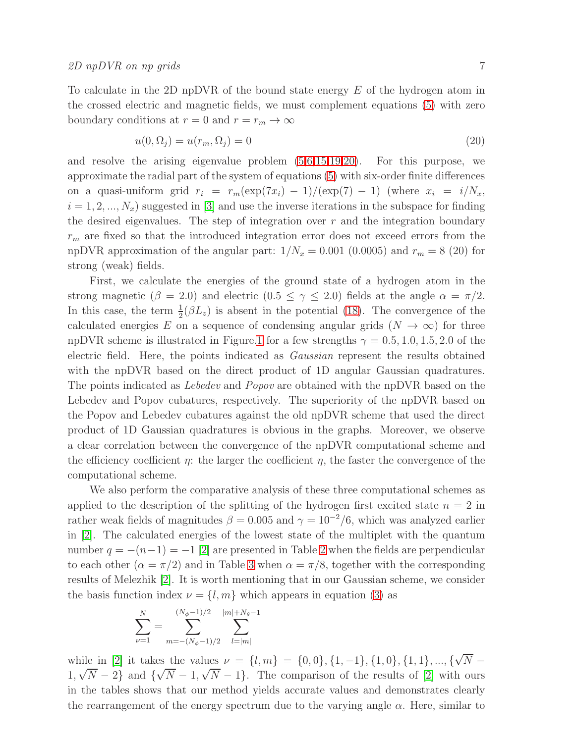To calculate in the 2D npDVR of the bound state energy E of the hydrogen atom in the crossed electric and magnetic fields, we must complement equations [\(5\)](#page-3-3) with zero boundary conditions at  $r = 0$  and  $r = r_m \to \infty$ 

<span id="page-6-0"></span>
$$
u(0, \Omega_j) = u(r_m, \Omega_j) = 0
$$
\n<sup>(20)</sup>

and resolve the arising eigenvalue problem [\(5,](#page-3-3)[6](#page-3-2)[,15](#page-5-1)[,19,](#page-5-3)[20\)](#page-6-0). For this purpose, we approximate the radial part of the system of equations [\(5\)](#page-3-3) with six-order finite differences on a quasi-uniform grid  $r_i = r_m(\exp(7x_i) - 1)/(\exp(7) - 1)$  (where  $x_i = i/N_x$ ,  $i = 1, 2, ..., N_x$  suggested in [\[3\]](#page-9-5) and use the inverse iterations in the subspace for finding the desired eigenvalues. The step of integration over  $r$  and the integration boundary  $r<sub>m</sub>$  are fixed so that the introduced integration error does not exceed errors from the npDVR approximation of the angular part:  $1/N_x = 0.001$  (0.0005) and  $r_m = 8$  (20) for strong (weak) fields.

First, we calculate the energies of the ground state of a hydrogen atom in the strong magnetic ( $\beta = 2.0$ ) and electric ( $0.5 \leq \gamma \leq 2.0$ ) fields at the angle  $\alpha = \pi/2$ . In this case, the term  $\frac{1}{2}(\beta L_z)$  is absent in the potential [\(18\)](#page-5-2). The convergence of the calculated energies E on a sequence of condensing angular grids  $(N \to \infty)$  for three npDVR scheme is illustrated in Figure[.1](#page-7-0) for a few strengths  $\gamma = 0.5, 1.0, 1.5, 2.0$  of the electric field. Here, the points indicated as Gaussian represent the results obtained with the npDVR based on the direct product of 1D angular Gaussian quadratures. The points indicated as Lebedev and Popov are obtained with the npDVR based on the Lebedev and Popov cubatures, respectively. The superiority of the npDVR based on the Popov and Lebedev cubatures against the old npDVR scheme that used the direct product of 1D Gaussian quadratures is obvious in the graphs. Moreover, we observe a clear correlation between the convergence of the npDVR computational scheme and the efficiency coefficient  $\eta$ : the larger the coefficient  $\eta$ , the faster the convergence of the computational scheme.

We also perform the comparative analysis of these three computational schemes as applied to the description of the splitting of the hydrogen first excited state  $n = 2$  in rather weak fields of magnitudes  $\beta = 0.005$  and  $\gamma = 10^{-2}/6$ , which was analyzed earlier in [\[2\]](#page-9-2). The calculated energies of the lowest state of the multiplet with the quantum number  $q = -(n-1) = -1$  [\[2\]](#page-9-2) are presented in Table [2](#page-8-0) when the fields are perpendicular to each other  $(\alpha = \pi/2)$  and in Table [3](#page-8-1) when  $\alpha = \pi/8$ , together with the corresponding results of Melezhik [\[2\]](#page-9-2). It is worth mentioning that in our Gaussian scheme, we consider the basis function index  $\nu = \{l, m\}$  which appears in equation [\(3\)](#page-2-2) as

$$
\sum_{\nu=1}^{N} = \sum_{m=-(N_{\phi}-1)/2}^{(N_{\phi}-1)/2} \sum_{l=|m|}^{|m|+N_{\theta}-1}
$$

while in [\[2\]](#page-9-2) it takes the values  $\nu = \{l, m\} = \{0, 0\}, \{1, -1\}, \{1, 0\}, \{1, 1\}, ..., \{\sqrt{N} - \}$  $1, \sqrt{N} - 2$  and  $\{\sqrt{N} - 1, \sqrt{N} - 1\}$ . The comparison of the results of [\[2\]](#page-9-2) with ours in the tables shows that our method yields accurate values and demonstrates clearly the rearrangement of the energy spectrum due to the varying angle  $\alpha$ . Here, similar to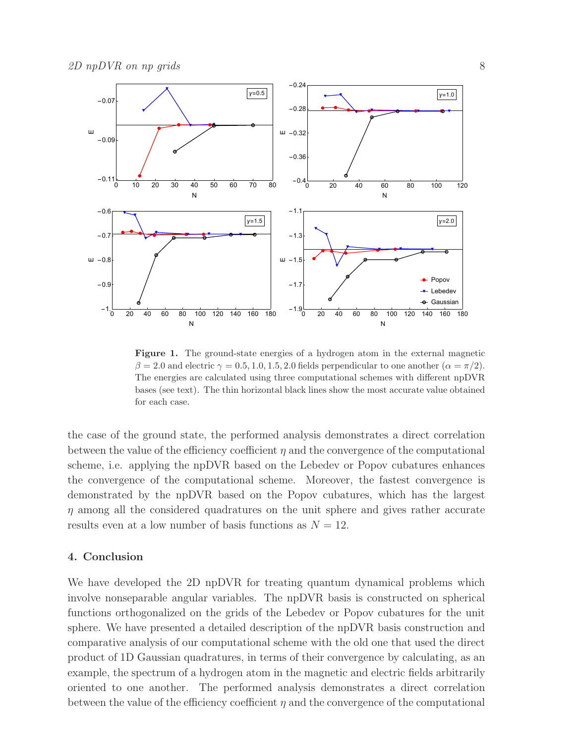

<span id="page-7-0"></span>Figure 1. The ground-state energies of a hydrogen atom in the external magnetic  $\beta = 2.0$  and electric  $\gamma = 0.5, 1.0, 1.5, 2.0$  fields perpendicular to one another  $(\alpha = \pi/2)$ . The energies are calculated using three computational schemes with different npDVR bases (see text). The thin horizontal black lines show the most accurate value obtained for each case.

the case of the ground state, the performed analysis demonstrates a direct correlation between the value of the efficiency coefficient  $\eta$  and the convergence of the computational scheme, i.e. applying the npDVR based on the Lebedev or Popov cubatures enhances the convergence of the computational scheme. Moreover, the fastest convergence is demonstrated by the npDVR based on the Popov cubatures, which has the largest  $\eta$  among all the considered quadratures on the unit sphere and gives rather accurate results even at a low number of basis functions as  $N = 12$ .

## 4. Conclusion

We have developed the 2D npDVR for treating quantum dynamical problems which involve nonseparable angular variables. The npDVR basis is constructed on spherical functions orthogonalized on the grids of the Lebedev or Popov cubatures for the unit sphere. We have presented a detailed description of the npDVR basis construction and comparative analysis of our computational scheme with the old one that used the direct product of 1D Gaussian quadratures, in terms of their convergence by calculating, as an example, the spectrum of a hydrogen atom in the magnetic and electric fields arbitrarily oriented to one another. The performed analysis demonstrates a direct correlation between the value of the efficiency coefficient  $\eta$  and the convergence of the computational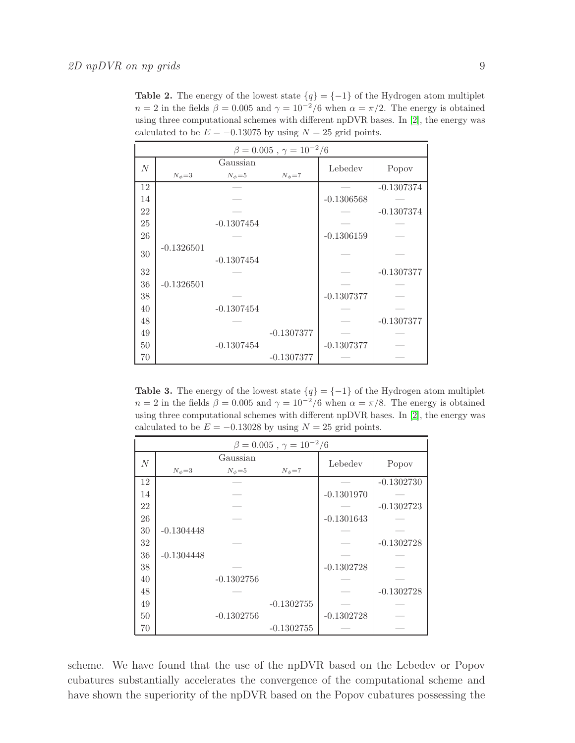<span id="page-8-0"></span>**Table 2.** The energy of the lowest state  $\{q\} = \{-1\}$  of the Hydrogen atom multiplet  $n = 2$  in the fields  $\beta = 0.005$  and  $\gamma = 10^{-2}/6$  when  $\alpha = \pi/2$ . The energy is obtained using three computational schemes with different npDVR bases. In [\[2\]](#page-9-2), the energy was calculated to be  $E = -0.13075$  by using  $N = 25$  grid points.

| $\beta = 0.005$ , $\gamma = 10^{-2}/6$ |                |                |                |              |              |  |  |
|----------------------------------------|----------------|----------------|----------------|--------------|--------------|--|--|
| N                                      |                | Gaussian       | Lebedev        | Popov        |              |  |  |
|                                        | $N_{\phi} = 3$ | $N_{\phi} = 5$ | $N_{\phi} = 7$ |              |              |  |  |
| 12                                     |                |                |                |              | $-0.1307374$ |  |  |
| 14                                     |                |                |                | $-0.1306568$ |              |  |  |
| 22                                     |                |                |                |              | $-0.1307374$ |  |  |
| 25                                     |                | $-0.1307454$   |                |              |              |  |  |
| 26                                     |                |                |                | $-0.1306159$ |              |  |  |
| 30                                     | $-0.1326501$   |                |                |              |              |  |  |
|                                        |                | $-0.1307454$   |                |              |              |  |  |
| $32\,$                                 |                |                |                |              | $-0.1307377$ |  |  |
| 36                                     | $-0.1326501$   |                |                |              |              |  |  |
| 38                                     |                |                |                | $-0.1307377$ |              |  |  |
| 40                                     |                | $-0.1307454$   |                |              |              |  |  |
| 48                                     |                |                |                |              | $-0.1307377$ |  |  |
| 49                                     |                |                | $-0.1307377$   |              |              |  |  |
| 50                                     |                | $-0.1307454$   |                | $-0.1307377$ |              |  |  |
| 70                                     |                |                | $-0.1307377$   |              |              |  |  |

<span id="page-8-1"></span>Table 3. The energy of the lowest state  ${q} = {-1}$  of the Hydrogen atom multiplet  $n = 2$  in the fields  $\beta = 0.005$  and  $\gamma = 10^{-2}/6$  when  $\alpha = \pi/8$ . The energy is obtained using three computational schemes with different npDVR bases. In [\[2\]](#page-9-2), the energy was calculated to be  $E = -0.13028$  by using  $N = 25$  grid points.

| $\beta = 0.005$ , $\gamma = 10^{-2}/6$ |                |              |                |              |              |  |  |
|----------------------------------------|----------------|--------------|----------------|--------------|--------------|--|--|
| $\cal N$                               |                | Gaussian     | Lebedev        |              |              |  |  |
|                                        | $N_{\phi} = 3$ | $N_\phi = 5$ | $N_{\phi} = 7$ |              | Popov        |  |  |
| 12                                     |                |              |                |              | $-0.1302730$ |  |  |
| 14                                     |                |              |                | $-0.1301970$ |              |  |  |
| 22                                     |                |              |                |              | $-0.1302723$ |  |  |
| 26                                     |                |              |                | $-0.1301643$ |              |  |  |
| 30                                     | $-0.1304448$   |              |                |              |              |  |  |
| 32                                     |                |              |                |              | $-0.1302728$ |  |  |
| 36                                     | $-0.1304448$   |              |                |              |              |  |  |
| 38                                     |                |              |                | $-0.1302728$ |              |  |  |
| 40                                     |                | $-0.1302756$ |                |              |              |  |  |
| 48                                     |                |              |                |              | $-0.1302728$ |  |  |
| 49                                     |                |              | $-0.1302755$   |              |              |  |  |
| 50                                     |                | $-0.1302756$ |                | $-0.1302728$ |              |  |  |
| 70                                     |                |              | $-0.1302755$   |              |              |  |  |

scheme. We have found that the use of the npDVR based on the Lebedev or Popov cubatures substantially accelerates the convergence of the computational scheme and have shown the superiority of the npDVR based on the Popov cubatures possessing the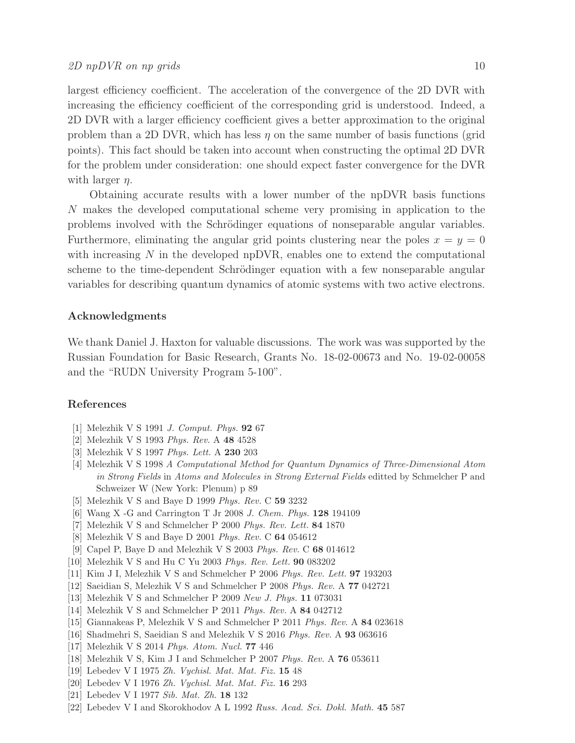largest efficiency coefficient. The acceleration of the convergence of the 2D DVR with increasing the efficiency coefficient of the corresponding grid is understood. Indeed, a 2D DVR with a larger efficiency coefficient gives a better approximation to the original problem than a 2D DVR, which has less  $\eta$  on the same number of basis functions (grid points). This fact should be taken into account when constructing the optimal 2D DVR for the problem under consideration: one should expect faster convergence for the DVR with larger  $\eta$ .

Obtaining accurate results with a lower number of the npDVR basis functions N makes the developed computational scheme very promising in application to the problems involved with the Schrödinger equations of nonseparable angular variables. Furthermore, eliminating the angular grid points clustering near the poles  $x = y = 0$ with increasing  $N$  in the developed npDVR, enables one to extend the computational scheme to the time-dependent Schrödinger equation with a few nonseparable angular variables for describing quantum dynamics of atomic systems with two active electrons.

#### Acknowledgments

We thank Daniel J. Haxton for valuable discussions. The work was was supported by the Russian Foundation for Basic Research, Grants No. 18-02-00673 and No. 19-02-00058 and the "RUDN University Program 5-100".

# <span id="page-9-0"></span>References

- <span id="page-9-2"></span>[1] Melezhik V S 1991 J. Comput. Phys. 92 67
- <span id="page-9-5"></span>[2] Melezhik V S 1993 Phys. Rev. A 48 4528
- [3] Melezhik V S 1997 Phys. Lett. A 230 203
- [4] Melezhik V S 1998 A Computational Method for Quantum Dynamics of Three-Dimensional Atom in Strong Fields in Atoms and Molecules in Strong External Fields editted by Schmelcher P and Schweizer W (New York: Plenum) p 89
- <span id="page-9-12"></span><span id="page-9-1"></span>[5] Melezhik V S and Baye D 1999 Phys. Rev. C 59 3232
- <span id="page-9-3"></span>[6] Wang X -G and Carrington T Jr 2008 J. Chem. Phys. 128 194109
- <span id="page-9-6"></span>[7] Melezhik V S and Schmelcher P 2000 Phys. Rev. Lett. 84 1870
- [8] Melezhik V S and Baye D 2001 Phys. Rev. C 64 054612
- <span id="page-9-7"></span>[9] Capel P, Baye D and Melezhik V S 2003 Phys. Rev. C 68 014612
- <span id="page-9-8"></span>[10] Melezhik V S and Hu C Yu 2003 Phys. Rev. Lett. 90 083202
- [11] Kim J I, Melezhik V S and Schmelcher P 2006 Phys. Rev. Lett. 97 193203
- <span id="page-9-9"></span>[12] Saeidian S, Melezhik V S and Schmelcher P 2008 Phys. Rev. A 77 042721
- [13] Melezhik V S and Schmelcher P 2009 New J. Phys. **11** 073031
- [14] Melezhik V S and Schmelcher P 2011 Phys. Rev. A 84 042712
- <span id="page-9-13"></span>[15] Giannakeas P, Melezhik V S and Schmelcher P 2011 Phys. Rev. A 84 023618
- <span id="page-9-4"></span>[16] Shadmehri S, Saeidian S and Melezhik V S 2016 Phys. Rev. A 93 063616
- <span id="page-9-10"></span>[17] Melezhik V S 2014 Phys. Atom. Nucl. 77 446
- <span id="page-9-11"></span>[18] Melezhik V S, Kim J I and Schmelcher P 2007 Phys. Rev. A 76 053611
- [19] Lebedev V I 1975 Zh. Vychisl. Mat. Mat. Fiz. 15 48
- [20] Lebedev V I 1976 Zh. Vychisl. Mat. Mat. Fiz. 16 293
- [21] Lebedev V I 1977 Sib. Mat. Zh. 18 132
- [22] Lebedev V I and Skorokhodov A L 1992 Russ. Acad. Sci. Dokl. Math. 45 587